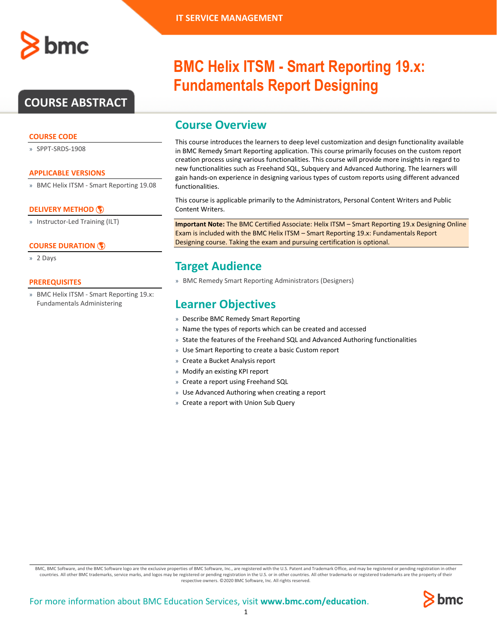# **COURSE ABSTRACT**

### **COURSE CODE**

» SPPT-SRDS-1908

#### **APPLICABLE VERSIONS**

» BMC Helix ITSM - Smart Reporting 19.08

### **[DELIVERY METHOD](http://www.bmc.com/education/modality.html)**

» Instructor-Led Training (ILT)

#### **[COURSE DURATION](http://www.bmc.com/education/learning-paths/education-filters-learning-paths.html)**

» 2 Days

#### **PREREQUISITES**

» BMC Helix ITSM - Smart Reporting 19.x: Fundamentals Administering

# **BMC Helix ITSM - Smart Reporting 19.x: Fundamentals Report Designing**

# **Course Overview**

This course introduces the learners to deep level customization and design functionality available in BMC Remedy Smart Reporting application. This course primarily focuses on the custom report creation process using various functionalities. This course will provide more insights in regard to new functionalities such as Freehand SQL, Subquery and Advanced Authoring. The learners will gain hands-on experience in designing various types of custom reports using different advanced functionalities.

This course is applicable primarily to the Administrators, Personal Content Writers and Public Content Writers.

**Important Note:** The BMC Certified Associate: Helix ITSM – Smart Reporting 19.x Designing Online Exam is included with the BMC Helix ITSM – Smart Reporting 19.x: Fundamentals Report Designing course. Taking the exam and pursuing certification is optional.

# **Target Audience**

» BMC Remedy Smart Reporting Administrators (Designers)

# **Learner Objectives**

- » Describe BMC Remedy Smart Reporting
- » Name the types of reports which can be created and accessed
- » State the features of the Freehand SQL and Advanced Authoring functionalities
- » Use Smart Reporting to create a basic Custom report
- » Create a Bucket Analysis report
- » Modify an existing KPI report
- » Create a report using Freehand SQL
- » Use Advanced Authoring when creating a report
- » Create a report with Union Sub Query

BMC, BMC Software, and the BMC Software logo are the exclusive properties of BMC Software, Inc., are registered with the U.S. Patent and Trademark Office, and may be registered or pending registration in other countries. All other BMC trademarks, service marks, and logos may be registered or pending registration in the U.S. or in other countries. All other trademarks or registered trademarks are the property of their respective owners. ©2020 BMC Software, Inc. All rights reserved.